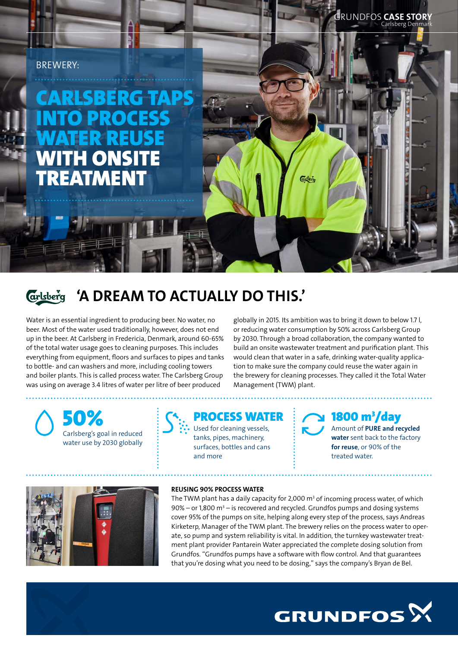## BREWERY:

# CARLSBERG TAPS **PROCESS** WATER REUSE WITH ONSI **REATMENT**

'A DREAM TO ACTUALLY DO THIS.' **arlsberg** 

Water is an essential ingredient to producing beer. No water, no beer. Most of the water used traditionally, however, does not end up in the beer. At Carlsberg in Fredericia, Denmark, around 60-65% of the total water usage goes to cleaning purposes. This includes everything from equipment, floors and surfaces to pipes and tanks to bottle- and can washers and more, including cooling towers and boiler plants. This is called process water. The Carlsberg Group was using on average 3.4 litres of water per litre of beer produced

globally in 2015. Its ambition was to bring it down to below 1.7 l, or reducing water consumption by 50% across Carlsberg Group by 2030. Through a broad collaboration, the company wanted to build an onsite wastewater treatment and purification plant. This would clean that water in a safe, drinking water-quality application to make sure the company could reuse the water again in the brewery for cleaning processes. They called it the Total Water Management (TWM) plant.

Carlsberg's goal in reduced water use by 2030 globally



tanks, pipes, machinery, surfaces, bottles and cans and more

# $1800 m<sup>3</sup>/day$

Amount of PURE and recycled water sent back to the factory for reuse, or 90% of the treated water.

Carlsberg Denmark

RUNDFOS **CASE STOR** 



#### REUSING 90% PROCESS WATER

The TWM plant has a daily capacity for 2,000  $\text{m}^3$  of incoming process water, of which  $90\%$  – or 1,800 m<sup>3</sup> – is recovered and recycled. Grundfos pumps and dosing systems cover 95% of the pumps on site, helping along every step of the process, says Andreas Kirketerp, Manager of the TWM plant. The brewery relies on the process water to operate, so pump and system reliability is vital. In addition, the turnkey wastewater treatment plant provider Pantarein Water appreciated the complete dosing solution from Grundfos. "Grundfos pumps have a software with flow control. And that guarantees that you're dosing what you need to be dosing," says the company's Bryan de Bel.